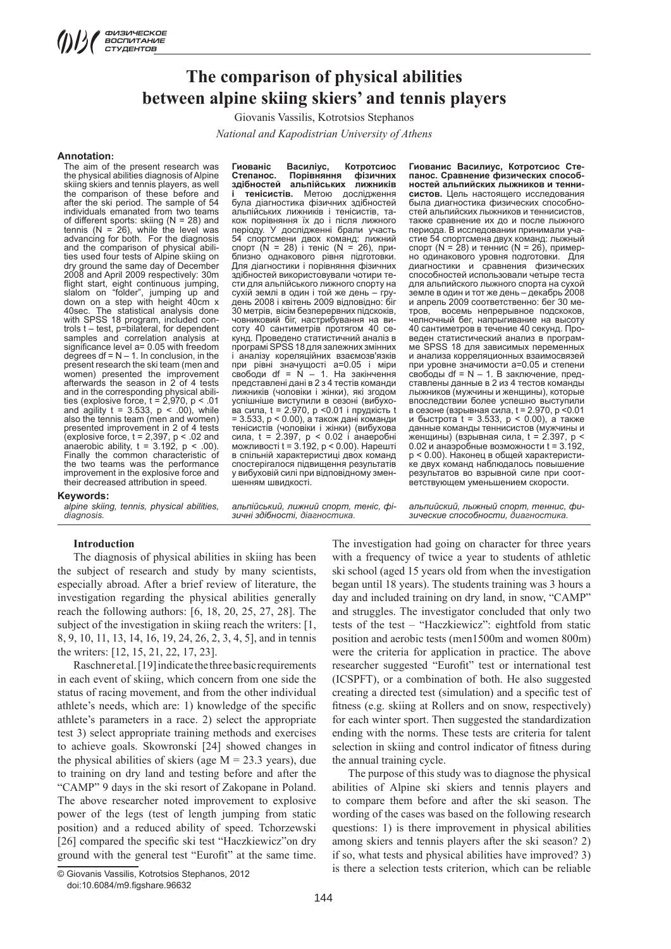# **The comparison of physical abilities between alpine skiing skiers' and tennis players**

Giovanis Vassilis, Kotrotsios Stephanos

*National and Kapodistrian University of Athens*

#### **Annotation:**

The aim of the present research was the physical abilities diagnosis of Alpine skiing skiers and tennis players, as well the comparison of these before and after the ski period. The sample of 54 individuals emanated from two teams of different sports: skiing  $(N = 28)$  and tennis (N = 26), while the level was advancing for both. For the diagnosis and the comparison of physical abilities used four tests of Alpine skiing on dry ground the same day of December 2008 and April 2009 respectively: 30m flight start, eight continuous jumping, slalom on "folder", jumping up and down on a step with height 40cm x 40sec. The statistical analysis done with SPSS 18 program, included controls t – test, p=bilateral, for dependent samples and correlation analysis at significance level a= 0.05 with freedom degrees  $df = N - 1$ . In conclusion, in the present research the ski team (men and women) presented the improvement afterwards the season in 2 of 4 tests and in the corresponding physical abilities (explosive force, t = 2,970, p < .01 and agility  $t = 3.533$ ,  $p < .00$ ), while also the tennis team (men and women) presented improvement in 2 of 4 tests  $explosive force, t = 2,397, p < .02$  and anaerobic ability,  $t = 3.192$ ,  $p < .00$ ). Finally the common characteristic of the two teams was the performance improvement in the explosive force and their decreased attribution in speed.

#### **Keywords:**

*alpine skiing, tennis, physical abilities, diagnosis.* 

#### **Introduction**

The diagnosis of physical abilities in skiing has been the subject of research and study by many scientists, especially abroad. After a brief review of literature, the investigation regarding the physical abilities generally reach the following authors: [6, 18, 20, 25, 27, 28]. The subject of the investigation in skiing reach the writers: [1, 8, 9, 10, 11, 13, 14, 16, 19, 24, 26, 2, 3, 4, 5], and in tennis the writers: [12, 15, 21, 22, 17, 23].

Raschner et al. [19] indicate the three basic requirements in each event of skiing, which concern from one side the status of racing movement, and from the other individual athlete's needs, which are: 1) knowledge of the specific athlete's parameters in a race. 2) select the appropriate test 3) select appropriate training methods and exercises to achieve goals. Skowronski [24] showed changes in the physical abilities of skiers (age  $M = 23.3$  years), due to training on dry land and testing before and after the "CAMP" 9 days in the ski resort of Zakopane in Poland. The above researcher noted improvement to explosive power of the legs (test of length jumping from static position) and a reduced ability of speed. Tchorzewski [26] compared the specific ski test "Haczkiewicz"on dry ground with the general test "Eurofit" at the same time.

144

**Гиованіс Василіус, Котротсиос Степанос. Порівняння фізичних здібностей альпійських лижників і тенісистів.** Метою дослідження була діагностика фізичних здібностей альпійських лижників і тенісистів, також порівняння їх до і після лижного періоду. У дослідженні брали участь 54 спортсмени двох команд: лижний спорт (N = 28) і теніс (N = 26), приблизно однакового рівня підготовки. Для діагностики і порівняння фізичних здібностей використовували чотири тести для альпійського лижного спорту на сухій землі в один і той же день – грудень 2008 і квітень 2009 відповідно: біг 30 метрів, вісім безперервних підскоків, човниковий біг, настрибування на висоту 40 сантиметрів протягом 40 секунд. Проведено статистичний аналіз в програмі SPSS 18 для залежних змінних і аналізу кореляційних взаємозв'язків при рівні значущості а=0.05 і міри свободи df = N – 1. На закінчення представлені дані в 2 з 4 тестів команди лижників (чоловіки і жінки), які згодом успішніше виступили в сезоні (вибухова сила, t = 2.970, p <0.01 і прудкість t = 3.533, p < 0.00), а також дані команди тенісистів (чоловіки і жінки) (вибухова сила, t = 2.397, p < 0.02 і анаеробні можливості t = 3.192, p < 0.00). Нарешті в спільній характеристиці двох команд спостерігалося підвищення результатів у вибуховій силі при відповідному зменшенням швидкості.

*альпійський, лижний спорт, теніс, фі-*

*зичні здібності, діагностика.* 

**Гиованис Василиус, Котротсиос Степанос. Сравнение физических способностей альпийских лыжников и теннисистов.** Цель настоящего исследования была диагностика физических способностей альпийских лыжников и теннисистов, также сравнение их до и после лыжного периода. В исследовании принимали участие 54 спортсмена двух команд: лыжный спорт (N = 28) и теннис (N = 26), примерно одинакового уровня подготовки. Для диагностики и сравнения физических способностей использовали четыре теста для альпийского лыжного спорта на сухой земле в один и тот же день – декабрь 2008 и апрель 2009 соответственно: бег 30 метров, восемь непрерывное подскоков, челночный бег, напрыгивание на высоту 40 сантиметров в течение 40 секунд. Проведен статистический анализ в программе SPSS 18 для зависимых переменных и анализа корреляционных взаимосвязей при уровне значимости а=0.05 и степени свободы df = N – 1. В заключение, представлены данные в 2 из 4 тестов команды лыжников (мужчины и женщины), которые впоследствии более успешно выступили в сезоне (взрывная сила, t = 2.970, p <0.01 и быстрота t = 3.533, p < 0.00), а также данные команды теннисистов (мужчины и женщины) (взрывная сила, t = 2.397, p < 0.02 и анаэробные возможности t = 3.192, p < 0.00). Наконец в общей характеристике двух команд наблюдалось повышение результатов во взрывной силе при соответствующем уменьшением скорости.

*альпийский, лыжный спорт, теннис, физические способности, диагностика.* 

The investigation had going on character for three years with a frequency of twice a year to students of athletic ski school (aged 15 years old from when the investigation began until 18 years). The students training was 3 hours a day and included training on dry land, in snow, "CAMP" and struggles. The investigator concluded that only two tests of the test – "Haczkiewicz": eightfold from static position and aerobic tests (men1500m and women 800m) were the criteria for application in practice. The above researcher suggested "Eurofit" test or international test (ICSPFT), or a combination of both. He also suggested creating a directed test (simulation) and a specific test of fitness (e.g. skiing at Rollers and on snow, respectively) for each winter sport. Then suggested the standardization ending with the norms. These tests are criteria for talent selection in skiing and control indicator of fitness during the annual training cycle.

The purpose of this study was to diagnose the physical abilities of Alpine ski skiers and tennis players and to compare them before and after the ski season. The wording of the cases was based on the following research questions: 1) is there improvement in physical abilities among skiers and tennis players after the ski season? 2) if so, what tests and physical abilities have improved? 3) is there a selection tests criterion, which can be reliable

<sup>©</sup> Giovanis Vassilis, Kotrotsios Stephanos, 2012 doi:10.6084/m9.figshare.96632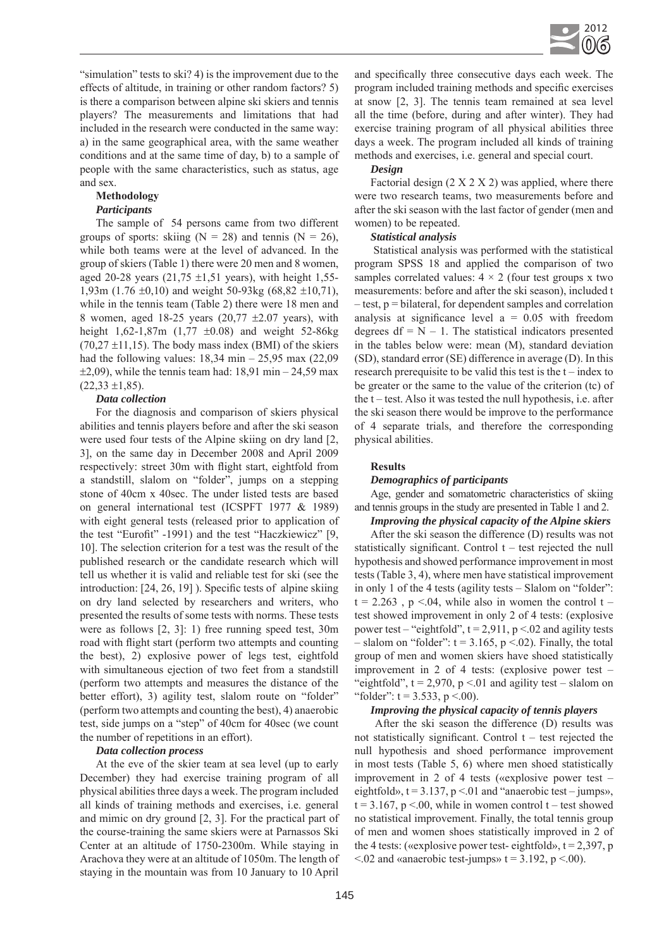

"simulation" tests to ski? 4) is the improvement due to the effects of altitude, in training or other random factors? 5) is there a comparison between alpine ski skiers and tennis players? The measurements and limitations that had included in the research were conducted in the same way: a) in the same geographical area, with the same weather conditions and at the same time of day, b) to a sample of people with the same characteristics, such as status, age and sex.

# **Methodology**

### *Participants*

The sample of 54 persons came from two different groups of sports: skiing  $(N = 28)$  and tennis  $(N = 26)$ , while both teams were at the level of advanced. In the group of skiers (Table 1) there were 20 men and 8 women, aged 20-28 years  $(21,75 \pm 1,51)$  years), with height 1,55-1,93m (1.76  $\pm$ 0,10) and weight 50-93kg (68,82  $\pm$ 10,71), while in the tennis team (Table 2) there were 18 men and 8 women, aged 18-25 years  $(20,77 \pm 2.07 \text{ years})$ , with height 1,62-1,87m  $(1,77 \pm 0.08)$  and weight 52-86kg  $(70,27 \pm 11,15)$ . The body mass index (BMI) of the skiers had the following values:  $18,34$  min  $- 25,95$  max (22,09)  $\pm 2,09$ ), while the tennis team had: 18,91 min – 24,59 max  $(22,33 \pm 1,85)$ .

## *Data collection*

For the diagnosis and comparison of skiers physical abilities and tennis players before and after the ski season were used four tests of the Alpine skiing on dry land [2, 3], on the same day in December 2008 and April 2009 respectively: street 30m with flight start, eightfold from a standstill, slalom on "folder", jumps on a stepping stone of 40cm x 40sec. The under listed tests are based on general international test (ICSPFT 1977 & 1989) with eight general tests (released prior to application of the test "Eurofit" -1991) and the test "Haczkiewicz" [9, 10]. The selection criterion for a test was the result of the published research or the candidate research which will tell us whether it is valid and reliable test for ski (see the introduction: [24, 26, 19] ). Specific tests of alpine skiing on dry land selected by researchers and writers, who presented the results of some tests with norms. These tests were as follows [2, 3]: 1) free running speed test, 30m road with flight start (perform two attempts and counting the best), 2) explosive power of legs test, eightfold with simultaneous ejection of two feet from a standstill (perform two attempts and measures the distance of the better effort), 3) agility test, slalom route on "folder" (perform two attempts and counting the best), 4) anaerobic test, side jumps on a "step" of 40cm for 40sec (we count the number of repetitions in an effort).

#### *Data collection process*

At the eve of the skier team at sea level (up to early December) they had exercise training program of all physical abilities three days a week. The program included all kinds of training methods and exercises, i.e. general and mimic on dry ground [2, 3]. For the practical part of the course-training the same skiers were at Parnassos Ski Center at an altitude of 1750-2300m. While staying in Arachova they were at an altitude of 1050m. The length of staying in the mountain was from 10 January to 10 April and specifically three consecutive days each week. The program included training methods and specific exercises at snow [2, 3]. The tennis team remained at sea level all the time (before, during and after winter). They had exercise training program of all physical abilities three days a week. The program included all kinds of training methods and exercises, i.e. general and special court.

#### *Design*

Factorial design  $(2 \times 2 \times 2)$  was applied, where there were two research teams, two measurements before and after the ski season with the last factor of gender (men and women) to be repeated.

#### *Statistical analysis*

 Statistical analysis was performed with the statistical program SPSS 18 and applied the comparison of two samples correlated values:  $4 \times 2$  (four test groups x two measurements: before and after the ski season), included t – test, p = bilateral, for dependent samples and correlation analysis at significance level  $a = 0.05$  with freedom degrees  $df = N - 1$ . The statistical indicators presented in the tables below were: mean (M), standard deviation (SD), standard error (SE) difference in average (D). In this research prerequisite to be valid this test is the t – index to be greater or the same to the value of the criterion (tc) of the t – test. Also it was tested the null hypothesis, i.e. after the ski season there would be improve to the performance of 4 separate trials, and therefore the corresponding physical abilities.

#### **Results**

## *Demographics of participants*

Age, gender and somatometric characteristics of skiing and tennis groups in the study are presented in Table 1 and 2.

## *Improving the physical capacity of the Alpine skiers*

After the ski season the difference (D) results was not statistically significant. Control t – test rejected the null hypothesis and showed performance improvement in most tests (Table 3, 4), where men have statistical improvement in only 1 of the 4 tests (agility tests – Slalom on "folder":  $t = 2.263$ ,  $p \le 0.04$ , while also in women the control  $t$ test showed improvement in only 2 of 4 tests: (explosive power test – "eightfold",  $t = 2.911$ ,  $p < 0.02$  and agility tests – slalom on "folder":  $t = 3.165$ ,  $p < .02$ ). Finally, the total group of men and women skiers have shoed statistically improvement in 2 of 4 tests: (explosive power test – "eightfold",  $t = 2,970$ ,  $p < 01$  and agility test – slalom on "folder":  $t = 3.533$ ,  $p < .00$ ).

## *Improving the physical capacity of tennis players*

After the ski season the difference (D) results was not statistically significant. Control  $t -$  test rejected the null hypothesis and shoed performance improvement in most tests (Table 5, 6) where men shoed statistically improvement in 2 of 4 tests («explosive power test – eightfold»,  $t = 3.137$ ,  $p < 01$  and "anaerobic test – jumps»,  $t = 3.167$ , p <.00, while in women control  $t -$  test showed no statistical improvement. Finally, the total tennis group of men and women shoes statistically improved in 2 of the 4 tests: («explosive power test- eightfold»,  $t = 2,397$ , p  $\leq$  02 and «anaerobic test-jumps» t = 3.192, p  $\leq$  00).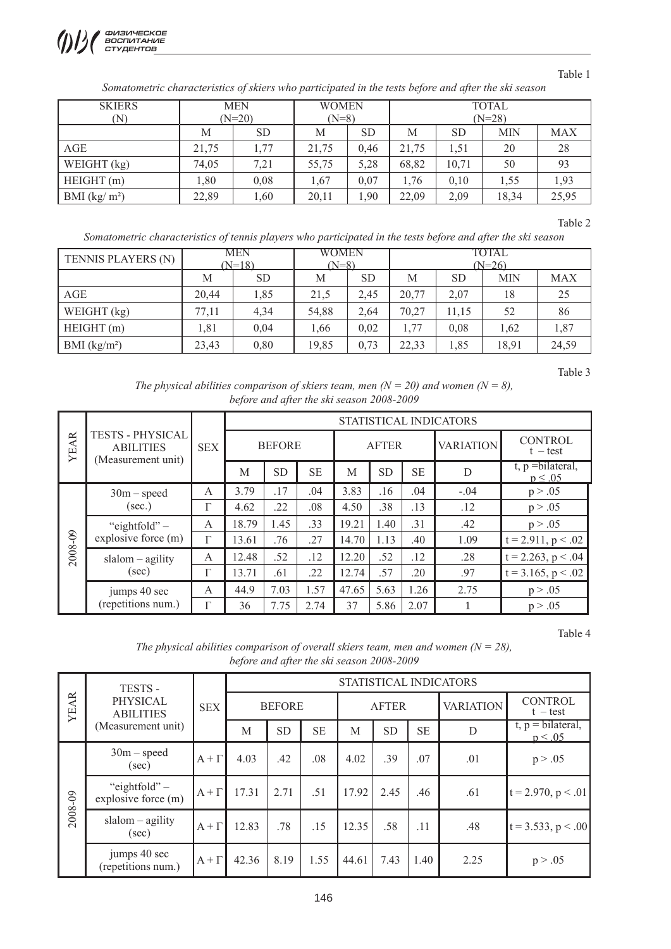

## Table 1

*Somatometric characteristics of skiers who participated in the tests before and after the ski season*

| <b>SKIERS</b> | <b>MEN</b> |           | <b>WOMEN</b> |      | <b>TOTAL</b> |           |            |            |  |  |
|---------------|------------|-----------|--------------|------|--------------|-----------|------------|------------|--|--|
| (N)           |            | $(N=20)$  | $(N=8)$      |      | $(N=28)$     |           |            |            |  |  |
|               | М          | <b>SD</b> | М            | SD   | M            | <b>SD</b> | <b>MIN</b> | <b>MAX</b> |  |  |
| AGE           | 21,75      | 1.77      | 21,75        | 0.46 | 21,75        | 1.51      | 20         | 28         |  |  |
| WEIGHT $(kg)$ | 74,05      | 7,21      | 55,75        | 5,28 | 68,82        | 10,71     | 50         | 93         |  |  |
| HEIGHT(m)     | 1,80       | 0,08      | 1,67         | 0,07 | 1,76         | 0,10      | 1,55       | 1,93       |  |  |
| BMI $(kg/m2)$ | 22,89      | 1,60      | 20,11        | 1,90 | 22,09        | 2,09      | 18,34      | 25,95      |  |  |

Table 2

*Somatometric characteristics of tennis players who participated in the tests before and after the ski season*

| TENNIS PLAYERS (N) |       | MEN<br>$(N=18)$ | WOMEN<br>$(N=8)$ |           | TOTAL<br>$(N=26)$ |           |            |            |  |
|--------------------|-------|-----------------|------------------|-----------|-------------------|-----------|------------|------------|--|
|                    | М     | <b>SD</b>       | M                | <b>SD</b> | M                 | <b>SD</b> | <b>MIN</b> | <b>MAX</b> |  |
| AGE                | 20.44 | 1,85            | 21,5             | 2,45      | 20,77             | 2,07      | 18         | 25         |  |
| WEIGHT $(kg)$      | 77,11 | 4,34            | 54,88            | 2,64      | 70,27             | 11.15     | 52         | 86         |  |
| HEIGHT(m)          | 1,81  | 0,04            | 1,66             | 0,02      | 1,77              | 0,08      | 1,62       | 1,87       |  |
| BMI $(kg/m2)$      | 23,43 | 0,80            | 19,85            | 0,73      | 22,33             | 1,85      | 18,91      | 24,59      |  |

Table 3

*The physical abilities comparison of skiers team, men (* $N = 20$ *) and women (* $N = 8$ *), before and after the ski season 2008-2009*

|             |                                                                   |            | STATISTICAL INDICATORS |           |           |              |           |           |                  |                                      |  |  |
|-------------|-------------------------------------------------------------------|------------|------------------------|-----------|-----------|--------------|-----------|-----------|------------------|--------------------------------------|--|--|
| <b>YEAR</b> | <b>TESTS - PHYSICAL</b><br><b>ABILITIES</b><br>(Measurement unit) | <b>SEX</b> | <b>BEFORE</b>          |           |           | <b>AFTER</b> |           |           | <b>VARIATION</b> | <b>CONTROL</b><br>$t - test$         |  |  |
|             |                                                                   |            | M                      | <b>SD</b> | <b>SE</b> | M            | <b>SD</b> | <b>SE</b> | D                | $t, p = bilateral,$<br>$p \leq 0.05$ |  |  |
|             | $30m$ – speed                                                     | A          | 3.79                   | .17       | .04       | 3.83         | .16       | .04       | $-.04$           | p > .05                              |  |  |
|             | (sec.)                                                            | г          | 4.62                   | .22       | .08       | 4.50         | .38       | .13       | .12              | p > .05                              |  |  |
|             | "eightfold" $-$<br>explosive force (m)                            | A          | 18.79                  | 1.45      | .33       | 19.21        | 1.40      | .31       | .42              | p > .05                              |  |  |
|             |                                                                   | Г          | 13.61                  | .76       | .27       | 14.70        | 1.13      | .40       | 1.09             | $t = 2.911$ , $p < .02$              |  |  |
| 2008-09     | $slalom - agility$                                                | A          | 12.48                  | .52       | .12       | 12.20        | .52       | .12       | .28              | $t = 2.263$ , $p < .04$              |  |  |
|             | (sec)                                                             | Г          | 13.71                  | .61       | .22       | 12.74        | .57       | .20       | .97              | $t = 3.165$ , $p < .02$              |  |  |
|             | jumps 40 sec<br>(repetitions num.)                                | A          | 44.9                   | 7.03      | 1.57      | 47.65        | 5.63      | 1.26      | 2.75             | p > .05                              |  |  |
|             |                                                                   | Г          | 36                     | 7.75      | 2.74      | 37           | 5.86      | 2.07      |                  | p > .05                              |  |  |

Table 4

*The physical abilities comparison of overall skiers team, men and women (* $N = 28$ *), before and after the ski season 2008-2009*

| <b>YEAR</b> | TESTS -                                            |              |               |           |           |              | STATISTICAL INDICATORS<br><b>CONTROL</b> |           |                  |                                             |
|-------------|----------------------------------------------------|--------------|---------------|-----------|-----------|--------------|------------------------------------------|-----------|------------------|---------------------------------------------|
|             | PHYSICAL<br><b>ABILITIES</b><br>(Measurement unit) | <b>SEX</b>   | <b>BEFORE</b> |           |           | <b>AFTER</b> |                                          |           | <b>VARIATION</b> | $t - test$                                  |
|             |                                                    |              | M             | <b>SD</b> | <b>SE</b> | M            | <b>SD</b>                                | <b>SE</b> | D                | $t, p = \text{bilateral},$<br>$p \leq 0.05$ |
|             | $30m$ – speed<br>(sec)                             | $A + \Gamma$ | 4.03          | .42       | .08       | 4.02         | .39                                      | .07       | .01              | p > .05                                     |
|             | "eightfold" $-$<br>explosive force (m)             | $A + \Gamma$ | 17.31         | 2.71      | .51       | 17.92        | 2.45                                     | .46       | .61              | $t = 2.970, p < .01$                        |
| 2008-09     | $slalom - agility$<br>(sec)                        | $A + \Gamma$ | 12.83         | .78       | .15       | 12.35        | .58                                      | .11       | .48              | $ t = 3.533, p < .00 $                      |
|             | jumps 40 sec<br>(repetitions num.)                 | $A + \Gamma$ | 42.36         | 8.19      | 1.55      | 44.61        | 7.43                                     | 1.40      | 2.25             | p > .05                                     |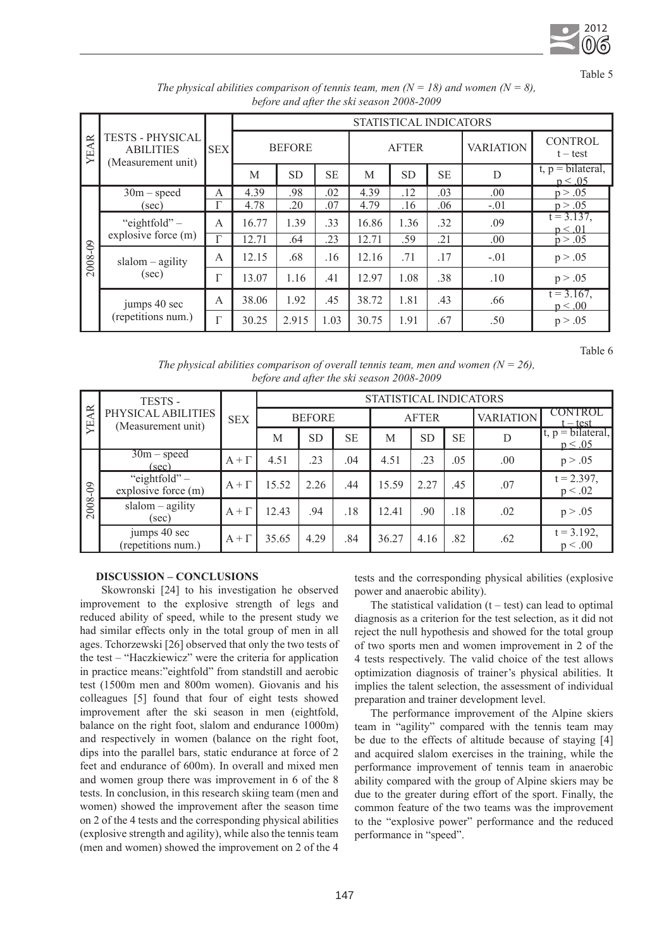

Table 5

|             |                                                                   |                | STATISTICAL INDICATORS |           |           |       |              |           |                  |                                            |  |  |
|-------------|-------------------------------------------------------------------|----------------|------------------------|-----------|-----------|-------|--------------|-----------|------------------|--------------------------------------------|--|--|
| <b>YEAR</b> | <b>TESTS - PHYSICAL</b><br><b>ABILITIES</b><br>(Measurement unit) | <b>SEX</b>     | <b>BEFORE</b>          |           |           |       | <b>AFTER</b> |           | <b>VARIATION</b> | <b>CONTROL</b><br>$t - test$               |  |  |
|             |                                                                   |                | M                      | <b>SD</b> | <b>SE</b> | M     | <b>SD</b>    | <b>SE</b> | D                | $t, p = \text{bilateral},$<br>$p \le 0.05$ |  |  |
|             | $30m$ – speed                                                     | A              | 4.39                   | .98       | .02       | 4.39  | .12          | .03       | .00              | p > .05                                    |  |  |
|             | (sec)                                                             | Г              | 4.78                   | .20       | .07       | 4.79  | .16          | .06       | $-.01$           | p > .05                                    |  |  |
|             | "eightfold" $-$<br>explosive force (m)                            | $\overline{A}$ | 16.77                  | 1.39      | .33       | 16.86 | 1.36         | .32       | .09              | $t = 3.137$ ,<br>$p \leq 0.01$             |  |  |
|             |                                                                   | Γ              | 12.71                  | .64       | .23       | 12.71 | .59          | .21       | .00.             | p > .05                                    |  |  |
| 2008-09     | $slalom - agility$<br>(sec)                                       | A              | 12.15                  | .68       | .16       | 12.16 | .71          | .17       | $-.01$           | p > .05                                    |  |  |
|             |                                                                   | Г              | 13.07                  | 1.16      | .41       | 12.97 | 1.08         | .38       | .10              | p > .05                                    |  |  |
|             | jumps 40 sec                                                      | A              | 38.06                  | 1.92      | .45       | 38.72 | 1.81         | .43       | .66              | $t = 3.167$ ,<br>$p \leq .00$              |  |  |
|             | (repetitions num.)                                                | P              | 30.25                  | 2.915     | 1.03      | 30.75 | 1.91         | .67       | .50              | p > .05                                    |  |  |

*The physical abilities comparison of tennis team, men (* $N = 18$ *) and women (* $N = 8$ *), before and after the ski season 2008-2009*

Table 6

*The physical abilities comparison of overall tennis team, men and women (* $N = 26$ *), before and after the ski season 2008-2009*

|                  | TESTS -                                  |              | STATISTICAL INDICATORS |           |           |              |           |           |                  |                                             |  |  |
|------------------|------------------------------------------|--------------|------------------------|-----------|-----------|--------------|-----------|-----------|------------------|---------------------------------------------|--|--|
| <b>AR</b><br>УE, | PHYSICAL ABILITIES<br>(Measurement unit) | <b>SEX</b>   | <b>BEFORE</b>          |           |           | <b>AFTER</b> |           |           | <b>VARIATION</b> | <b>CONTROL</b><br>$t - test$                |  |  |
|                  |                                          |              | M                      | <b>SD</b> | <b>SE</b> | M            | <b>SD</b> | <b>SE</b> | D                | $t, p = \text{bilateral},$<br>$p \leq 0.05$ |  |  |
|                  | $\overline{30m}$ – speed<br>(sec)        | $A + \Gamma$ | 4.51                   | .23       | .04       | 4.51         | .23       | .05       | .00.             | p > .05                                     |  |  |
| 2008-09          | "eightfold" $-$<br>explosive force (m)   | $A + \Gamma$ | 15.52                  | 2.26      | .44       | 15.59        | 2.27      | .45       | .07              | $t = 2.397$ ,<br>p < .02                    |  |  |
|                  | $slalom - agility$<br>(sec)              | $A + \Gamma$ | 12.43                  | .94       | .18       | 12.41        | .90       | .18       | .02              | p > .05                                     |  |  |
|                  | jumps 40 sec<br>(repetitions num.)       | $A + \Gamma$ | 35.65                  | 4.29      | .84       | 36.27        | 4.16      | .82       | .62              | $t = 3.192$ ,<br>p < 0.00                   |  |  |

## **DISCUSSION – CONCLUSIONS**

 Skowronski [24] to his investigation he observed improvement to the explosive strength of legs and reduced ability of speed, while to the present study we had similar effects only in the total group of men in all ages. Tchorzewski [26] observed that only the two tests of the test – "Haczkiewicz" were the criteria for application in practice means:"eightfold" from standstill and aerobic test (1500m men and 800m women). Giovanis and his colleagues [5] found that four of eight tests showed improvement after the ski season in men (eightfold, balance on the right foot, slalom and endurance 1000m) and respectively in women (balance on the right foot, dips into the parallel bars, static endurance at force of 2 feet and endurance of 600m). In overall and mixed men and women group there was improvement in 6 of the 8 tests. In conclusion, in this research skiing team (men and women) showed the improvement after the season time on 2 of the 4 tests and the corresponding physical abilities (explosive strength and agility), while also the tennis team (men and women) showed the improvement on 2 of the 4 tests and the corresponding physical abilities (explosive power and anaerobic ability).

The statistical validation  $(t - test)$  can lead to optimal diagnosis as a criterion for the test selection, as it did not reject the null hypothesis and showed for the total group of two sports men and women improvement in 2 of the 4 tests respectively. The valid choice of the test allows optimization diagnosis of trainer's physical abilities. It implies the talent selection, the assessment of individual preparation and trainer development level.

The performance improvement of the Alpine skiers team in "agility" compared with the tennis team may be due to the effects of altitude because of staying [4] and acquired slalom exercises in the training, while the performance improvement of tennis team in anaerobic ability compared with the group of Alpine skiers may be due to the greater during effort of the sport. Finally, the common feature of the two teams was the improvement to the "explosive power" performance and the reduced performance in "speed".